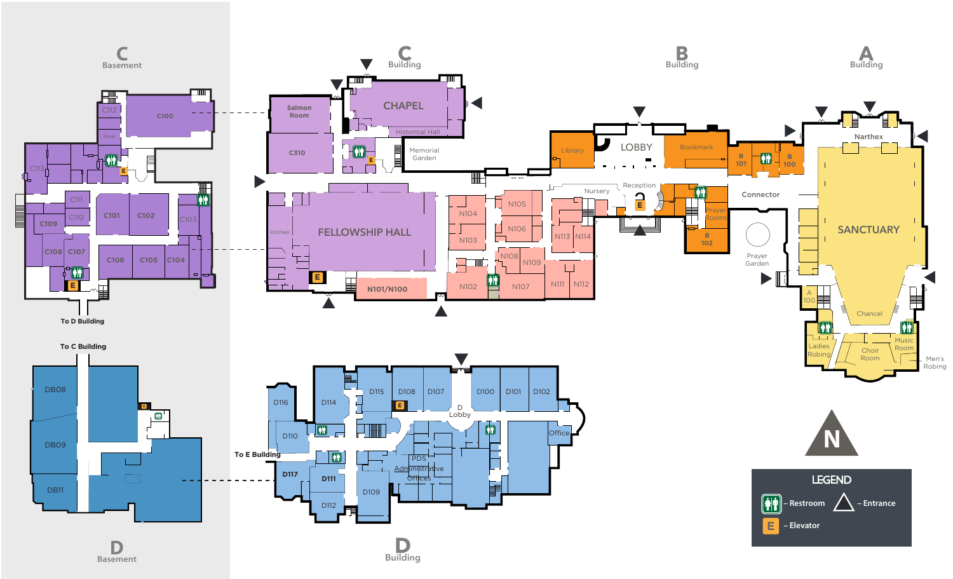